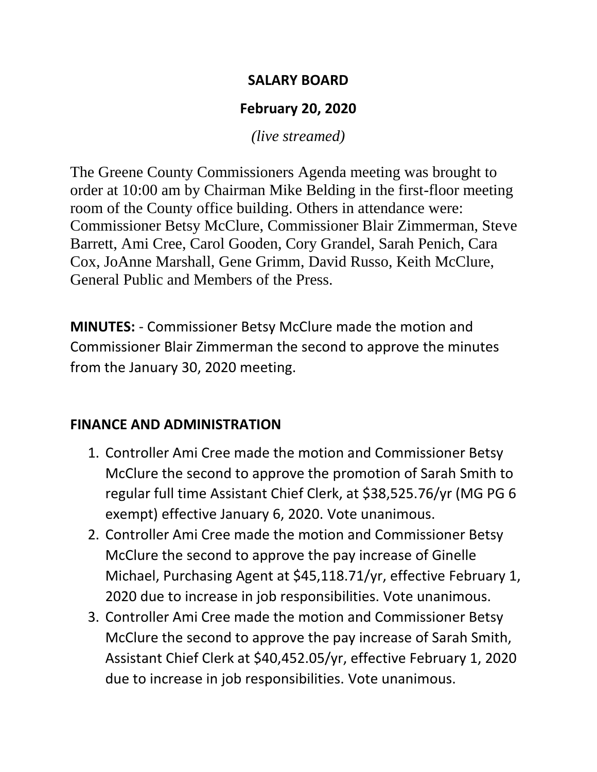#### **SALARY BOARD**

# **February 20, 2020**

*(live streamed)*

The Greene County Commissioners Agenda meeting was brought to order at 10:00 am by Chairman Mike Belding in the first-floor meeting room of the County office building. Others in attendance were: Commissioner Betsy McClure, Commissioner Blair Zimmerman, Steve Barrett, Ami Cree, Carol Gooden, Cory Grandel, Sarah Penich, Cara Cox, JoAnne Marshall, Gene Grimm, David Russo, Keith McClure, General Public and Members of the Press.

**MINUTES:** - Commissioner Betsy McClure made the motion and Commissioner Blair Zimmerman the second to approve the minutes from the January 30, 2020 meeting.

# **FINANCE AND ADMINISTRATION**

- 1. Controller Ami Cree made the motion and Commissioner Betsy McClure the second to approve the promotion of Sarah Smith to regular full time Assistant Chief Clerk, at \$38,525.76/yr (MG PG 6 exempt) effective January 6, 2020. Vote unanimous.
- 2. Controller Ami Cree made the motion and Commissioner Betsy McClure the second to approve the pay increase of Ginelle Michael, Purchasing Agent at \$45,118.71/yr, effective February 1, 2020 due to increase in job responsibilities. Vote unanimous.
- 3. Controller Ami Cree made the motion and Commissioner Betsy McClure the second to approve the pay increase of Sarah Smith, Assistant Chief Clerk at \$40,452.05/yr, effective February 1, 2020 due to increase in job responsibilities. Vote unanimous.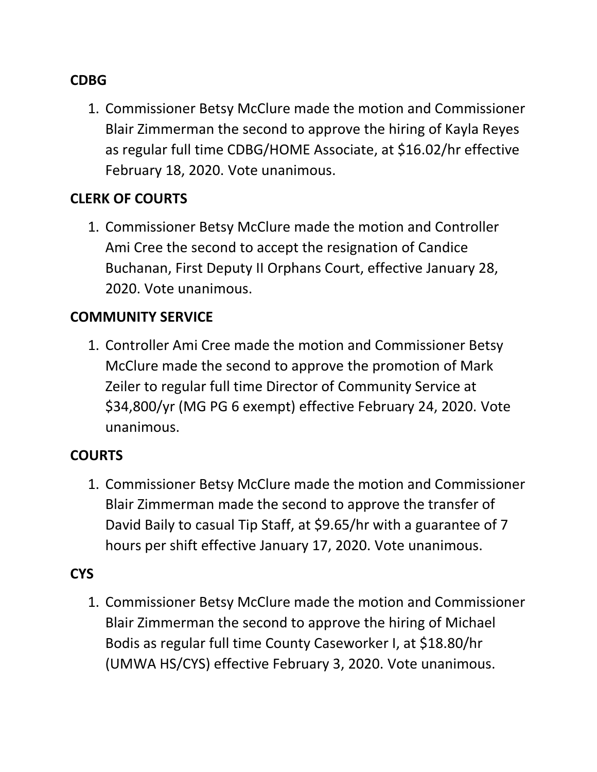### **CDBG**

1. Commissioner Betsy McClure made the motion and Commissioner Blair Zimmerman the second to approve the hiring of Kayla Reyes as regular full time CDBG/HOME Associate, at \$16.02/hr effective February 18, 2020. Vote unanimous.

### **CLERK OF COURTS**

1. Commissioner Betsy McClure made the motion and Controller Ami Cree the second to accept the resignation of Candice Buchanan, First Deputy II Orphans Court, effective January 28, 2020. Vote unanimous.

### **COMMUNITY SERVICE**

1. Controller Ami Cree made the motion and Commissioner Betsy McClure made the second to approve the promotion of Mark Zeiler to regular full time Director of Community Service at \$34,800/yr (MG PG 6 exempt) effective February 24, 2020. Vote unanimous.

### **COURTS**

1. Commissioner Betsy McClure made the motion and Commissioner Blair Zimmerman made the second to approve the transfer of David Baily to casual Tip Staff, at \$9.65/hr with a guarantee of 7 hours per shift effective January 17, 2020. Vote unanimous.

# **CYS**

1. Commissioner Betsy McClure made the motion and Commissioner Blair Zimmerman the second to approve the hiring of Michael Bodis as regular full time County Caseworker I, at \$18.80/hr (UMWA HS/CYS) effective February 3, 2020. Vote unanimous.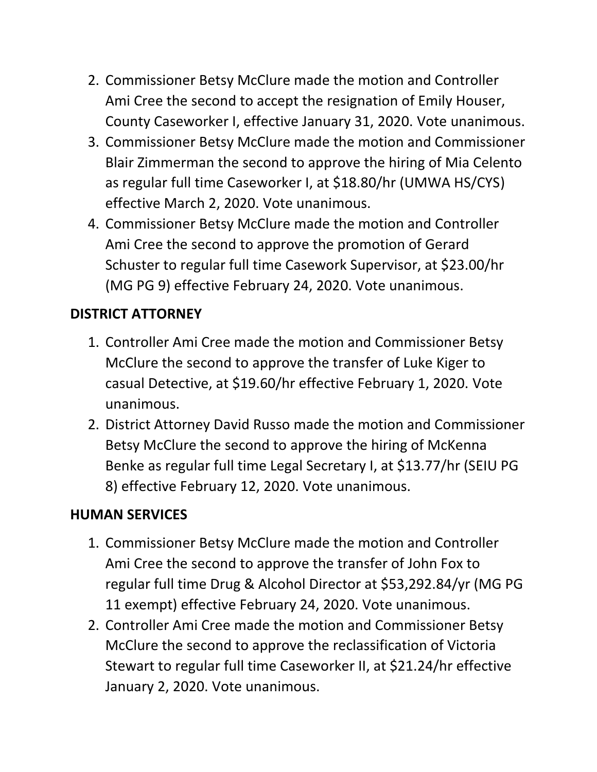- 2. Commissioner Betsy McClure made the motion and Controller Ami Cree the second to accept the resignation of Emily Houser, County Caseworker I, effective January 31, 2020. Vote unanimous.
- 3. Commissioner Betsy McClure made the motion and Commissioner Blair Zimmerman the second to approve the hiring of Mia Celento as regular full time Caseworker I, at \$18.80/hr (UMWA HS/CYS) effective March 2, 2020. Vote unanimous.
- 4. Commissioner Betsy McClure made the motion and Controller Ami Cree the second to approve the promotion of Gerard Schuster to regular full time Casework Supervisor, at \$23.00/hr (MG PG 9) effective February 24, 2020. Vote unanimous.

# **DISTRICT ATTORNEY**

- 1. Controller Ami Cree made the motion and Commissioner Betsy McClure the second to approve the transfer of Luke Kiger to casual Detective, at \$19.60/hr effective February 1, 2020. Vote unanimous.
- 2. District Attorney David Russo made the motion and Commissioner Betsy McClure the second to approve the hiring of McKenna Benke as regular full time Legal Secretary I, at \$13.77/hr (SEIU PG 8) effective February 12, 2020. Vote unanimous.

# **HUMAN SERVICES**

- 1. Commissioner Betsy McClure made the motion and Controller Ami Cree the second to approve the transfer of John Fox to regular full time Drug & Alcohol Director at \$53,292.84/yr (MG PG 11 exempt) effective February 24, 2020. Vote unanimous.
- 2. Controller Ami Cree made the motion and Commissioner Betsy McClure the second to approve the reclassification of Victoria Stewart to regular full time Caseworker II, at \$21.24/hr effective January 2, 2020. Vote unanimous.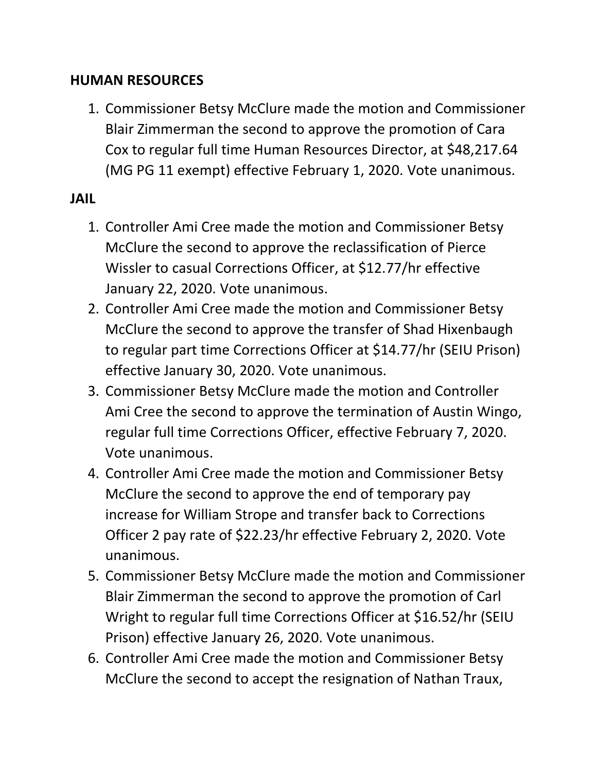#### **HUMAN RESOURCES**

1. Commissioner Betsy McClure made the motion and Commissioner Blair Zimmerman the second to approve the promotion of Cara Cox to regular full time Human Resources Director, at \$48,217.64 (MG PG 11 exempt) effective February 1, 2020. Vote unanimous.

### **JAIL**

- 1. Controller Ami Cree made the motion and Commissioner Betsy McClure the second to approve the reclassification of Pierce Wissler to casual Corrections Officer, at \$12.77/hr effective January 22, 2020. Vote unanimous.
- 2. Controller Ami Cree made the motion and Commissioner Betsy McClure the second to approve the transfer of Shad Hixenbaugh to regular part time Corrections Officer at \$14.77/hr (SEIU Prison) effective January 30, 2020. Vote unanimous.
- 3. Commissioner Betsy McClure made the motion and Controller Ami Cree the second to approve the termination of Austin Wingo, regular full time Corrections Officer, effective February 7, 2020. Vote unanimous.
- 4. Controller Ami Cree made the motion and Commissioner Betsy McClure the second to approve the end of temporary pay increase for William Strope and transfer back to Corrections Officer 2 pay rate of \$22.23/hr effective February 2, 2020. Vote unanimous.
- 5. Commissioner Betsy McClure made the motion and Commissioner Blair Zimmerman the second to approve the promotion of Carl Wright to regular full time Corrections Officer at \$16.52/hr (SEIU Prison) effective January 26, 2020. Vote unanimous.
- 6. Controller Ami Cree made the motion and Commissioner Betsy McClure the second to accept the resignation of Nathan Traux,